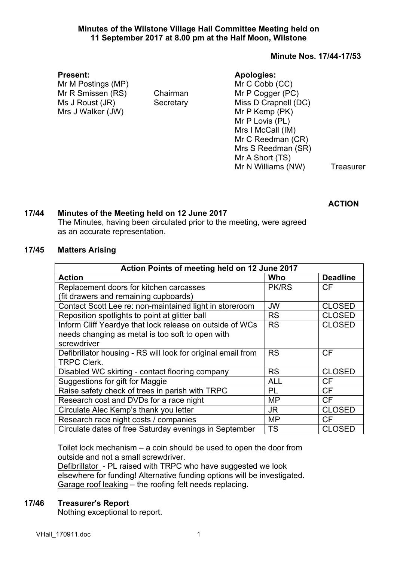### **Minutes of the Wilstone Village Hall Committee Meeting held on 11 September 2017 at 8.00 pm at the Half Moon, Wilstone**

### **Minute Nos. 17/44-17/53**

#### **Present:**

Mr M Postings (MP) Mr R Smissen (RS) Chairman Ms J Roust (JR) Secretary Mrs J Walker (JW)

## **Apologies:**

Mr C Cobb (CC) Mr P Cogger (PC) Miss D Crapnell (DC) Mr P Kemp (PK) Mr P Lovis (PL) Mrs I McCall (IM) Mr C Reedman (CR) Mrs S Reedman (SR) Mr A Short (TS) Mr N Williams (NW) Treasurer

**ACTION**

## **17/44 Minutes of the Meeting held on 12 June 2017**

The Minutes, having been circulated prior to the meeting, were agreed as an accurate representation.

### **17/45 Matters Arising**

| Action Points of meeting held on 12 June 2017                |              |                 |  |  |
|--------------------------------------------------------------|--------------|-----------------|--|--|
| <b>Action</b>                                                | Who          | <b>Deadline</b> |  |  |
| Replacement doors for kitchen carcasses                      | <b>PK/RS</b> | СF              |  |  |
| (fit drawers and remaining cupboards)                        |              |                 |  |  |
| Contact Scott Lee re: non-maintained light in storeroom      | <b>JW</b>    | <b>CLOSED</b>   |  |  |
| Reposition spotlights to point at glitter ball               | <b>RS</b>    | <b>CLOSED</b>   |  |  |
| Inform Cliff Yeardye that lock release on outside of WCs     | <b>RS</b>    | <b>CLOSED</b>   |  |  |
| needs changing as metal is too soft to open with             |              |                 |  |  |
| screwdriver                                                  |              |                 |  |  |
| Defibrillator housing - RS will look for original email from | <b>RS</b>    | СF              |  |  |
| <b>TRPC Clerk.</b>                                           |              |                 |  |  |
| Disabled WC skirting - contact flooring company              | <b>RS</b>    | <b>CLOSED</b>   |  |  |
| Suggestions for gift for Maggie                              | <b>ALL</b>   | <b>CF</b>       |  |  |
| Raise safety check of trees in parish with TRPC              | PL           | <b>CF</b>       |  |  |
| Research cost and DVDs for a race night                      | MP           | <b>CF</b>       |  |  |
| Circulate Alec Kemp's thank you letter                       | <b>JR</b>    | <b>CLOSED</b>   |  |  |
| Research race night costs / companies                        | MP           | <b>CF</b>       |  |  |
| Circulate dates of free Saturday evenings in September       | <b>TS</b>    | <b>CLOSED</b>   |  |  |

Toilet lock mechanism – a coin should be used to open the door from outside and not a small screwdriver.

Defibrillator - PL raised with TRPC who have suggested we look elsewhere for funding! Alternative funding options will be investigated. Garage roof leaking – the roofing felt needs replacing.

## **17/46 Treasurer's Report**

Nothing exceptional to report.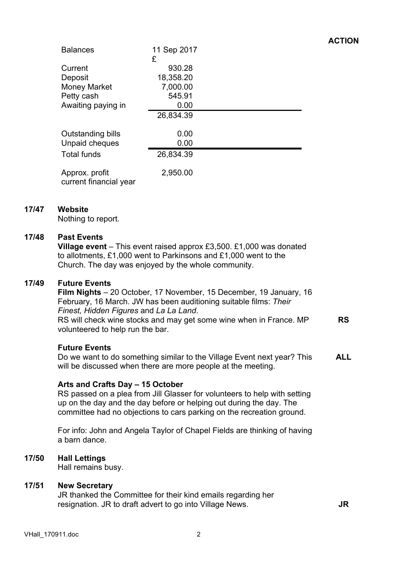| <b>Balances</b>                          | 11 Sep 2017<br>£    |  |
|------------------------------------------|---------------------|--|
| Current<br>Deposit                       | 930.28<br>18,358.20 |  |
| <b>Money Market</b>                      | 7,000.00            |  |
| Petty cash<br>Awaiting paying in         | 545.91<br>0.00      |  |
|                                          | 26,834.39           |  |
| Outstanding bills<br>Unpaid cheques      | 0.00<br>0.00        |  |
| <b>Total funds</b>                       | 26,834.39           |  |
| Approx. profit<br>current financial year | 2,950.00            |  |

## **17/47 Website**

Nothing to report.

#### **17/48 Past Events**

**Village event** – This event raised approx £3,500. £1,000 was donated to allotments, £1,000 went to Parkinsons and £1,000 went to the Church. The day was enjoyed by the whole community.

#### **17/49 Future Events**

**Film Nights** – 20 October, 17 November, 15 December, 19 January, 16 February, 16 March. JW has been auditioning suitable films: *Their Finest, Hidden Figures* and *La La Land*. RS will check wine stocks and may get some wine when in France. MP volunteered to help run the bar.

#### **Future Events**

Do we want to do something similar to the Village Event next year? This will be discussed when there are more people at the meeting. **ALL**

#### **Arts and Crafts Day – 15 October**

RS passed on a plea from Jill Glasser for volunteers to help with setting up on the day and the day before or helping out during the day. The committee had no objections to cars parking on the recreation ground.

For info: John and Angela Taylor of Chapel Fields are thinking of having a barn dance.

## **17/50 Hall Lettings**

Hall remains busy.

#### **17/51 New Secretary**

JR thanked the Committee for their kind emails regarding her resignation. JR to draft advert to go into Village News. **JR**

**RS**